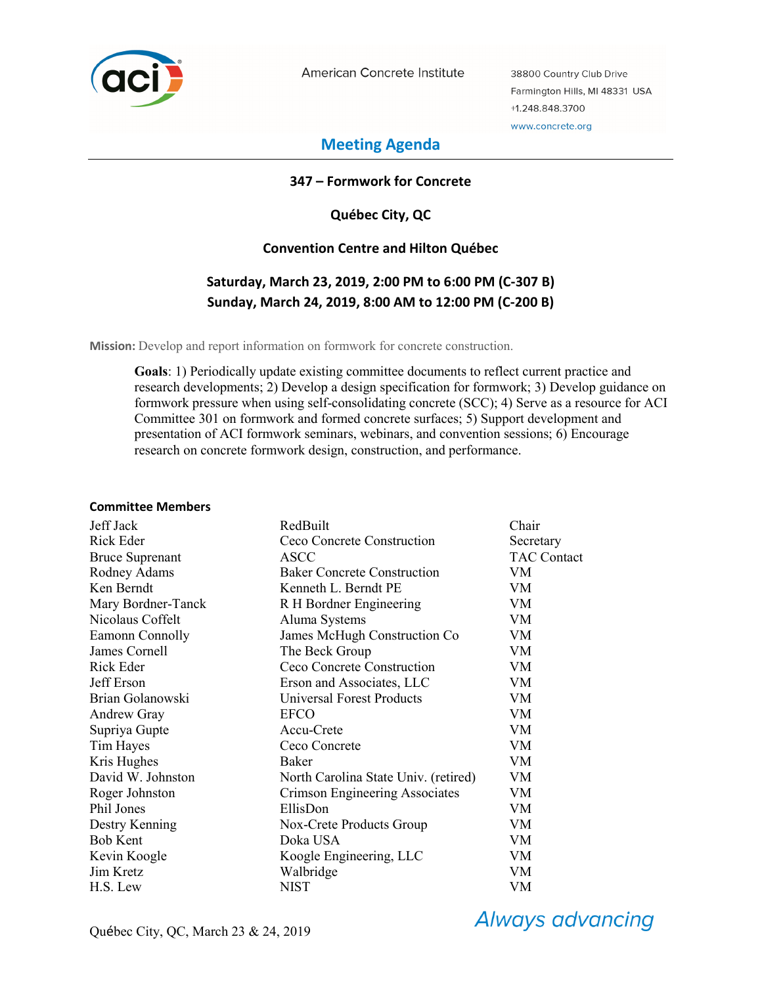

American Concrete Institute

38800 Country Club Drive Farmington Hills, MI 48331 USA +1.248.848.3700 www.concrete.org

# **Meeting Agenda**

### **347 – Formwork for Concrete**

**Québec City, QC** 

## **Convention Centre and Hilton Québec**

# **Saturday, March 23, 2019, 2:00 PM to 6:00 PM (C-307 B) Sunday, March 24, 2019, 8:00 AM to 12:00 PM (C-200 B)**

**Mission:** Develop and report information on formwork for concrete construction.

**Goals**: 1) Periodically update existing committee documents to reflect current practice and research developments; 2) Develop a design specification for formwork; 3) Develop guidance on formwork pressure when using self-consolidating concrete (SCC); 4) Serve as a resource for ACI Committee 301 on formwork and formed concrete surfaces; 5) Support development and presentation of ACI formwork seminars, webinars, and convention sessions; 6) Encourage research on concrete formwork design, construction, and performance.

#### **Committee Members**

| Jeff Jack              | RedBuilt                             | Chair              |
|------------------------|--------------------------------------|--------------------|
| Rick Eder              | Ceco Concrete Construction           | Secretary          |
| <b>Bruce Suprenant</b> | ASCC                                 | <b>TAC Contact</b> |
| Rodney Adams           | <b>Baker Concrete Construction</b>   | VM                 |
| Ken Berndt             | Kenneth L. Berndt PE                 | VM                 |
| Mary Bordner-Tanck     | R H Bordner Engineering              | VM                 |
| Nicolaus Coffelt       | Aluma Systems                        | <b>VM</b>          |
| Eamonn Connolly        | James McHugh Construction Co         | VM                 |
| James Cornell          | The Beck Group                       | <b>VM</b>          |
| Rick Eder              | Ceco Concrete Construction           | <b>VM</b>          |
| Jeff Erson             | Erson and Associates, LLC            | <b>VM</b>          |
| Brian Golanowski       | <b>Universal Forest Products</b>     | VM                 |
| <b>Andrew Gray</b>     | <b>EFCO</b>                          | VM                 |
| Supriya Gupte          | Accu-Crete                           | <b>VM</b>          |
| Tim Hayes              | Ceco Concrete                        | VM                 |
| Kris Hughes            | Baker                                | VM                 |
| David W. Johnston      | North Carolina State Univ. (retired) | <b>VM</b>          |
| Roger Johnston         | Crimson Engineering Associates       | <b>VM</b>          |
| Phil Jones             | EllisDon                             | VM                 |
| Destry Kenning         | Nox-Crete Products Group             | VM                 |
| <b>Bob Kent</b>        | Doka USA                             | VM                 |
| Kevin Koogle           | Koogle Engineering, LLC              | VM                 |
| Jim Kretz              | Walbridge                            | <b>VM</b>          |
| H.S. Lew               | NIST                                 | VM                 |

**Always advancing**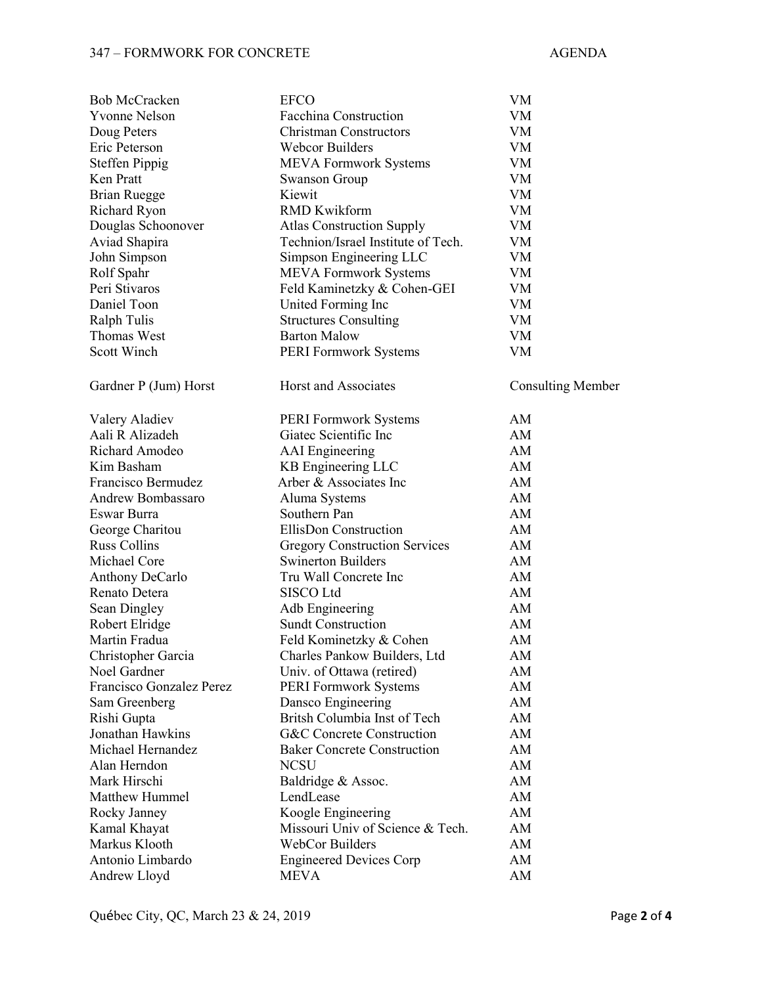#### 347 – FORMWORK FOR CONCRETE AGENDA

| <b>Bob McCracken</b>               | <b>EFCO</b>                                               | VM                       |
|------------------------------------|-----------------------------------------------------------|--------------------------|
| <b>Yvonne Nelson</b>               | Facchina Construction                                     | VM                       |
| Doug Peters                        | <b>Christman Constructors</b>                             | VM                       |
| Eric Peterson                      | <b>Webcor Builders</b>                                    | VM                       |
| <b>Steffen Pippig</b>              | <b>MEVA Formwork Systems</b>                              | VM                       |
| Ken Pratt                          | <b>Swanson Group</b>                                      | VM                       |
| <b>Brian Ruegge</b>                | Kiewit                                                    | VM                       |
| Richard Ryon                       | <b>RMD Kwikform</b>                                       | VM                       |
| Douglas Schoonover                 | <b>Atlas Construction Supply</b>                          | VM                       |
| Aviad Shapira                      | Technion/Israel Institute of Tech.                        | VM                       |
| John Simpson                       | Simpson Engineering LLC                                   | VM                       |
| Rolf Spahr                         | <b>MEVA Formwork Systems</b>                              | VM                       |
| Peri Stivaros                      | Feld Kaminetzky & Cohen-GEI                               | VM                       |
| Daniel Toon                        | United Forming Inc                                        | VM                       |
| Ralph Tulis                        | <b>Structures Consulting</b>                              | VM                       |
| Thomas West                        | <b>Barton Malow</b>                                       | VM                       |
| Scott Winch                        | <b>PERI Formwork Systems</b>                              | VM                       |
| Gardner P (Jum) Horst              | Horst and Associates                                      | <b>Consulting Member</b> |
| Valery Aladiev                     | <b>PERI Formwork Systems</b>                              | AM                       |
| Aali R Alizadeh                    | Giatec Scientific Inc                                     | AM                       |
| Richard Amodeo                     | <b>AAI</b> Engineering                                    | AM                       |
| Kim Basham                         | KB Engineering LLC                                        | AM                       |
| Francisco Bermudez                 | Arber & Associates Inc                                    | AM                       |
| Andrew Bombassaro                  | Aluma Systems                                             | AM                       |
| Eswar Burra                        | Southern Pan                                              | AM                       |
| George Charitou                    | EllisDon Construction                                     | AM                       |
| <b>Russ Collins</b>                | <b>Gregory Construction Services</b>                      | AM                       |
| Michael Core                       | <b>Swinerton Builders</b>                                 | AM                       |
| Anthony DeCarlo                    | Tru Wall Concrete Inc                                     | AM                       |
| Renato Detera                      | SISCO Ltd                                                 | AM                       |
| Sean Dingley                       | Adb Engineering                                           | AM                       |
| Robert Elridge                     | <b>Sundt Construction</b>                                 | AM                       |
| Martin Fradua                      | Feld Kominetzky & Cohen                                   | AM                       |
|                                    | Charles Pankow Builders, Ltd                              | AM                       |
| Christopher Garcia<br>Noel Gardner |                                                           | AM                       |
| Francisco Gonzalez Perez           | Univ. of Ottawa (retired)<br><b>PERI Formwork Systems</b> | AM                       |
|                                    | Dansco Engineering                                        | AM                       |
| Sam Greenberg                      | Britsh Columbia Inst of Tech                              | AM                       |
| Rishi Gupta<br>Jonathan Hawkins    |                                                           |                          |
| Michael Hernandez                  | G&C Concrete Construction                                 | AM                       |
| Alan Herndon                       | <b>Baker Concrete Construction</b>                        | AM<br>AM                 |
| Mark Hirschi                       | <b>NCSU</b>                                               |                          |
|                                    | Baldridge & Assoc.                                        | AM                       |
| <b>Matthew Hummel</b>              | LendLease                                                 | AM                       |
| Rocky Janney                       | Koogle Engineering                                        | AM                       |
| Kamal Khayat                       | Missouri Univ of Science & Tech.                          | AM                       |
| Markus Klooth                      | WebCor Builders                                           | AM                       |
| Antonio Limbardo                   | <b>Engineered Devices Corp</b>                            | AM                       |
| Andrew Lloyd                       | <b>MEVA</b>                                               | AM                       |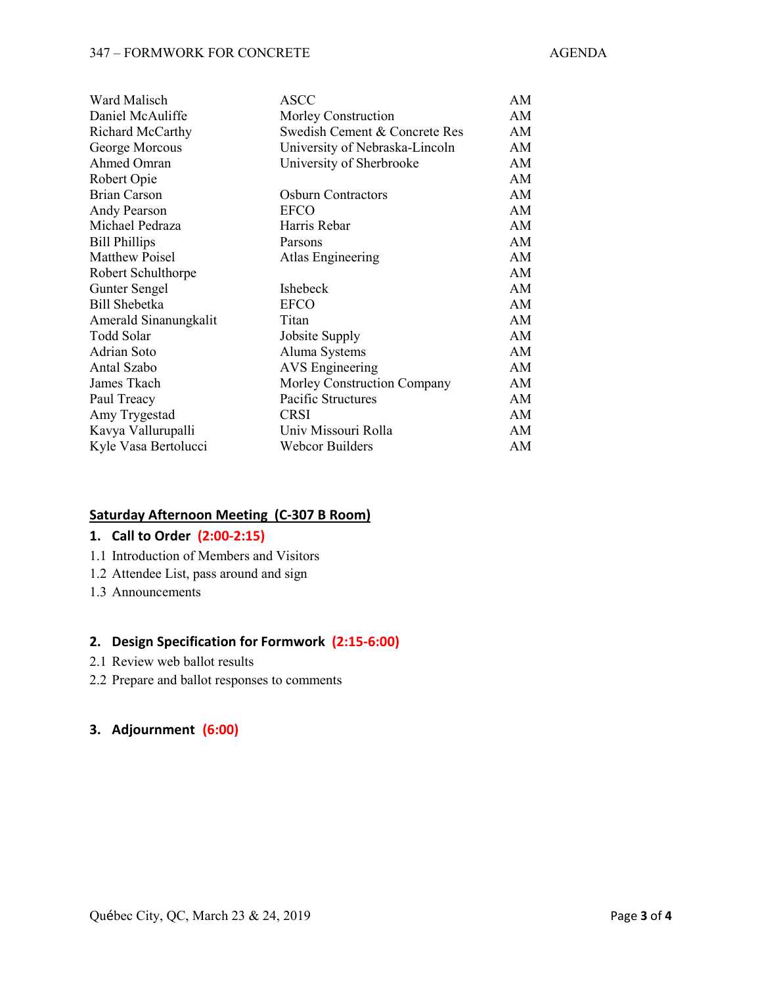| Ward Malisch          | ASCC                           | AM |
|-----------------------|--------------------------------|----|
| Daniel McAuliffe      | Morley Construction            | AM |
| Richard McCarthy      | Swedish Cement & Concrete Res  | AM |
| George Morcous        | University of Nebraska-Lincoln | AM |
| Ahmed Omran           | University of Sherbrooke       | AM |
| Robert Opie           |                                | AM |
| Brian Carson          | <b>Osburn Contractors</b>      | AM |
| <b>Andy Pearson</b>   | <b>EFCO</b>                    | AM |
| Michael Pedraza       | Harris Rebar                   | AM |
| <b>Bill Phillips</b>  | Parsons                        | AM |
| <b>Matthew Poisel</b> | Atlas Engineering              | AM |
| Robert Schulthorpe    |                                | AM |
| <b>Gunter Sengel</b>  | <b>Ishebeck</b>                | AM |
| <b>Bill Shebetka</b>  | <b>EFCO</b>                    | AM |
| Amerald Sinanungkalit | Titan                          | AM |
| Todd Solar            | Jobsite Supply                 | AM |
| <b>Adrian Soto</b>    | Aluma Systems                  | AM |
| Antal Szabo           | <b>AVS</b> Engineering         | AM |
| James Tkach           | Morley Construction Company    | AM |
| Paul Treacy           | Pacific Structures             | AM |
| Amy Trygestad         | <b>CRSI</b>                    | AM |
| Kavya Vallurupalli    | Univ Missouri Rolla            | AM |
| Kyle Vasa Bertolucci  | Webcor Builders                | AM |

# **Saturday Afternoon Meeting (C-307 B Room)**

#### **1. Call to Order (2:00-2:15)**

- 1.1 Introduction of Members and Visitors
- 1.2 Attendee List, pass around and sign
- 1.3 Announcements

#### **2. Design Specification for Formwork (2:15-6:00)**

- 2.1 Review web ballot results
- 2.2 Prepare and ballot responses to comments

# **3. Adjournment (6:00)**